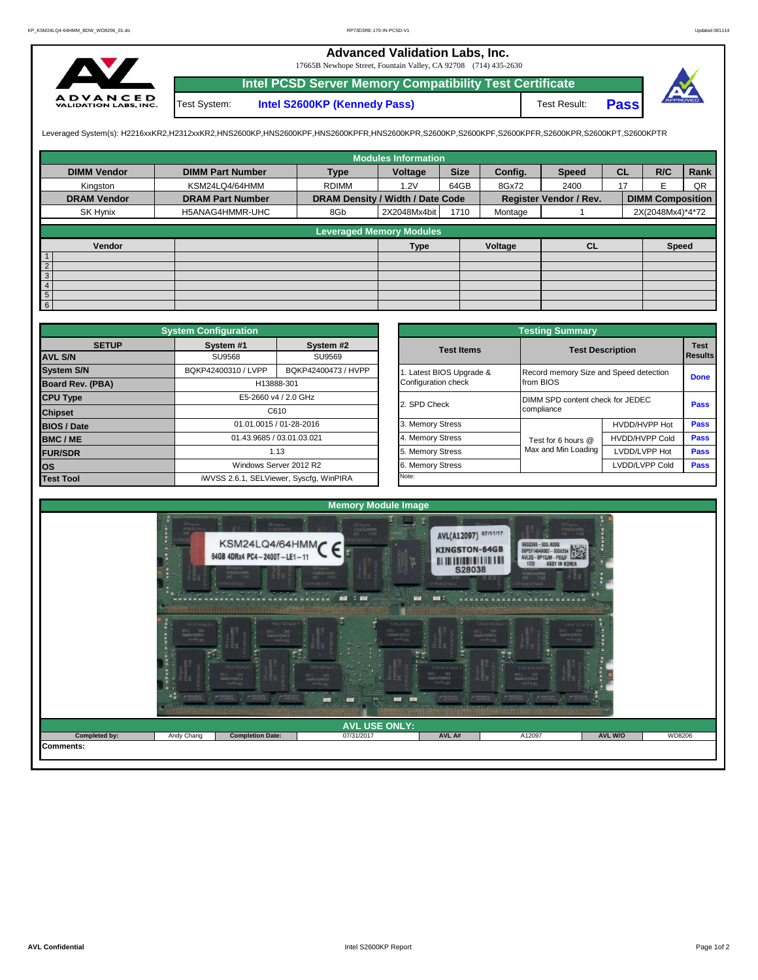## **Advanced Validation Labs, Inc.**

17665B Newhope Street, Fountain Valley, CA 92708 (714) 435-2630



Test System: **Intel S2600KP (Kennedy Pass)** Test Result: **Intel PCSD Server Memory Compatibility Test Certificate Pass**

Leveraged System(s): H2216xxKR2,H2312xxKR2,HNS2600KP,HNS2600KPF,HNS2600KPFR,HNS2600KPR,S2600KP,S2600KPF,S2600KPFR,S2600KPR,S2600KPT,S2600KPTR

|                    |                         |                                  | <b>Modules Information</b>      |             |         |                               |           |                         |      |
|--------------------|-------------------------|----------------------------------|---------------------------------|-------------|---------|-------------------------------|-----------|-------------------------|------|
| <b>DIMM Vendor</b> | <b>DIMM Part Number</b> | <b>Type</b>                      | Voltage                         | <b>Size</b> | Config. | <b>Speed</b>                  | <b>CL</b> | R/C                     | Rank |
| Kingston           | KSM24LQ4/64HMM          | <b>RDIMM</b>                     | 1.2V                            | 64GB        | 8Gx72   | 2400                          | 17        | F                       | QR   |
| <b>DRAM Vendor</b> | <b>DRAM Part Number</b> | DRAM Density / Width / Date Code |                                 |             |         | <b>Register Vendor / Rev.</b> |           | <b>DIMM Composition</b> |      |
| SK Hynix           | H5ANAG4HMMR-UHC         | 8Gb                              | 2X2048Mx4bit                    | 1710        | Montage |                               |           | 2X(2048Mx4)*4*72        |      |
|                    |                         |                                  | <b>Leveraged Memory Modules</b> |             |         |                               |           |                         |      |
|                    |                         |                                  |                                 |             |         |                               |           |                         |      |
| Vendor             |                         |                                  | <b>Type</b>                     |             | Voltage | <b>CL</b>                     |           | <b>Speed</b>            |      |
| $\overline{1}$     |                         |                                  |                                 |             |         |                               |           |                         |      |
| $\overline{2}$     |                         |                                  |                                 |             |         |                               |           |                         |      |
| $\overline{3}$     |                         |                                  |                                 |             |         |                               |           |                         |      |
| $\overline{4}$     |                         |                                  |                                 |             |         |                               |           |                         |      |
| $\frac{5}{6}$      |                         |                                  |                                 |             |         |                               |           |                         |      |
|                    |                         |                                  |                                 |             |         |                               |           |                         |      |

|                         | <b>System Configuration</b>             |                           |  | <b>Testing Summary</b> |                                        |                                  |                                    |  |  |  |  |  |
|-------------------------|-----------------------------------------|---------------------------|--|------------------------|----------------------------------------|----------------------------------|------------------------------------|--|--|--|--|--|
| <b>SETUP</b>            | System #1                               | System #2                 |  | <b>Test Items</b>      |                                        | <b>Test Description</b>          | <b>Test</b>                        |  |  |  |  |  |
| <b>AVL S/N</b>          | SU9568                                  | SU9569                    |  |                        |                                        |                                  | Results                            |  |  |  |  |  |
| <b>System S/N</b>       | BQKP42400310 / LVPP                     | BQKP42400473 / HVPP       |  | Latest BIOS Upgrade &  | Record memory Size and Speed detection |                                  |                                    |  |  |  |  |  |
| <b>Board Rev. (PBA)</b> |                                         | H13888-301                |  | Configuration check    | from BIOS                              |                                  |                                    |  |  |  |  |  |
| <b>CPU Type</b>         | E5-2660 v4 / 2.0 GHz                    |                           |  |                        |                                        | DIMM SPD content check for JEDEC |                                    |  |  |  |  |  |
| <b>Chipset</b>          |                                         | C610                      |  | 2. SPD Check           | compliance                             |                                  |                                    |  |  |  |  |  |
| <b>BIOS / Date</b>      |                                         | 01.01.0015 / 01-28-2016   |  | 3. Memory Stress       |                                        | HVDD/HVPP Hot                    | <b>Pass</b>                        |  |  |  |  |  |
| <b>BMC/ME</b>           |                                         | 01.43.9685 / 03.01.03.021 |  | 4. Memory Stress       | Test for 6 hours @                     | <b>HVDD/HVPP Cold</b>            | Pass                               |  |  |  |  |  |
| <b>FUR/SDR</b>          |                                         | 1.13                      |  | 5. Memory Stress       | Max and Min Loading                    | LVDD/LVPP Hot                    | <b>Pass</b>                        |  |  |  |  |  |
| los                     |                                         | Windows Server 2012 R2    |  | 6. Memory Stress       |                                        | LVDD/LVPP Cold                   | <b>Done</b><br><b>Pass</b><br>Pass |  |  |  |  |  |
| <b>Test Tool</b>        | iWVSS 2.6.1, SELViewer, Syscfq, WinPIRA |                           |  | Note:                  |                                        |                                  |                                    |  |  |  |  |  |

|              | <b>System Configuration</b> |                                         |                                        | <b>Testing Summary</b>  |                                                |                               |  |  |  |  |
|--------------|-----------------------------|-----------------------------------------|----------------------------------------|-------------------------|------------------------------------------------|-------------------------------|--|--|--|--|
| <b>SETUP</b> | System #1                   | System #2                               | <b>Test Items</b>                      | <b>Test Description</b> |                                                | <b>Test</b><br><b>Results</b> |  |  |  |  |
|              | <b>SU9568</b>               | SU9569                                  |                                        |                         |                                                |                               |  |  |  |  |
|              | BQKP42400310 / LVPP         | BQKP42400473 / HVPP                     | Record memory Size and Speed detection |                         | <b>Done</b>                                    |                               |  |  |  |  |
| PBA)         |                             | H13888-301                              | Configuration check                    | from BIOS               | DIMM SPD content check for JEDEC<br>compliance |                               |  |  |  |  |
|              |                             | E5-2660 v4 / 2.0 GHz                    | 2. SPD Check                           |                         |                                                |                               |  |  |  |  |
|              |                             | C610                                    |                                        |                         |                                                |                               |  |  |  |  |
|              |                             | 01.01.0015 / 01-28-2016                 | 3. Memory Stress                       |                         | HVDD/HVPP Hot                                  | Pass                          |  |  |  |  |
|              |                             | 01.43.9685 / 03.01.03.021               | 4. Memory Stress                       | Test for 6 hours @      | HVDD/HVPP Cold                                 |                               |  |  |  |  |
|              |                             | 1.13                                    | 5. Memory Stress                       | Max and Min Loading     | LVDD/LVPP Hot                                  | Pass                          |  |  |  |  |
|              |                             | Windows Server 2012 R2                  | 6. Memory Stress                       |                         | LVDD/LVPP Cold                                 | <b>Pass</b>                   |  |  |  |  |
|              |                             | iWVSS 2.6.1, SELViewer, Syscfq, WinPIRA | Note:                                  |                         |                                                |                               |  |  |  |  |